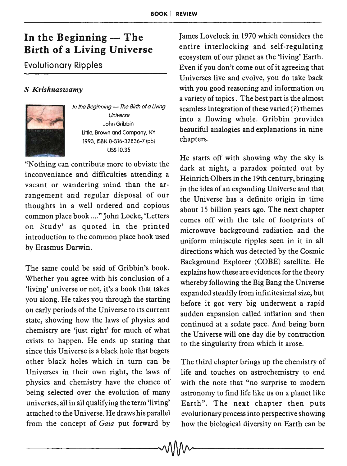## In the Beginning — The **Birth of a Living Universe**

Evolutionary Ripples

#### *S Krishnaswamy*



In the Beginning - The Birth of a Living Universe John Gribbin Little, Brown and Company, NY 1993, ISBN 0-316-32836-7 (pb) US\$10.35

"Nothing can contribute more to obviate the inconveniance and difficulties attending a vacant or wandering mind than the arrangement and regular disposal of our thoughts in a well Qrdered and copious common place book .... " John Locke, 'Letters on Study' as quoted in the printed introduction to the common place book used by Erasmus Darwin.

The same could be said of Gribbin's book. Whether you agree with his conclusion of a 'living' universe or not, it's a book that takes you along. He takes you through the starting on early periods of the Universe to its current state, showing how the laws of physics and chemistry are 'just right' for much of what exists to happen. He ends up stating that since this Universe is a black hole that begets other black holes which in turn can be Universes in their own right, the laws of physics and chemistry have the chance of being selected over the evolution of many universes, all in all qualifying the term 'living' attached to the Universe. He draws his parallel from the concept of *Gaia* put forward by

James Lovelock in 1970 which considers the entire interlocking and self-regulating ecosystem of our planet as the 'living' Earth. Even if you don't come out of it agreeing that Universes live and evolve, you do take back with you good reasoning and information on a variety of topics. The best part is the almost seamless integration of these varied (?) themes into a flowing whole. Gribbin provides beautiful analogies and explanations in nine chapters.

He starts off with showing why the sky is dark at night, a paradox pointed out by Heinrich Olbers in the 19th century, bringing in the idea of an expanding Universe and that the Universe has a definite origin in time about 15 billion years ago. The next chapter *comes* off with the tale of footprints of microwave background radiation and the uniform miniscule ripples seen in it in all directions which was detected by the Cosmic Background Explorer (COBE) satellite. He explains how these are evidences for the theory whereby following the Big Bang the Universe expanded steadily from infinitesimal size, but before it got very big underwent a rapid sudden expansion called inflation and then continued at a sedate pace. And being born the Universe will one day die by contraction to the singularity from which it arose.

The third chapter brings up the chemistry of life and touches on astrochemistry to end with the note that "no surprise to modern astronomy to find life like us on a planet like Earth". The next chapter then puts evolutionary process into perspective showing how the biological diversity on Earth can be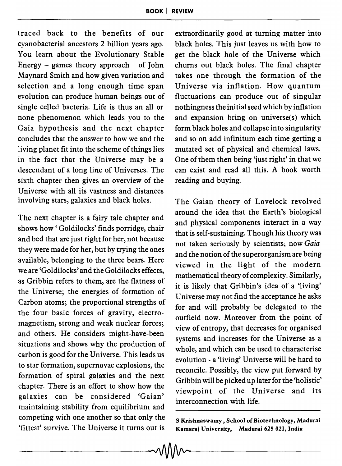traced back to the benefits of our cyanobacterial ancestors 2 billion years ago. You learn about the Evolutionary Stable Energy - games theory approach of John Maynard Smith and how given variation and selection and a long enough time span evolution can produce human beings out of single celled bacteria. Life is thus an all or none phenomenon which leads you to the Gaia hypothesis and the next chapter concludes that the answer to how we and the living planet fit into the scheme of things lies in the fact that the Universe may be a descendant of a long line of Universes. The sixth chapter then gives an overview of the Universe with all its vastness and distances involving stars, galaxies and black holes.

The next chapter is a fairy tale chapter and shows how' Goldilocks' finds porridge, chair and bed that are just right for her, not because they were made for her, but by trying the ones available, belonging to the three bears. Here we are 'Goldilocks' and the Goldilocks effects, as Gribbin refers to them, are the flatness of the Universe; the energies of formation of Carbon atoms; the proportional strengths of the four basic forces of gravity, electromagnetism, strong and weak nuclear forces; and others. He considers might-have-been situations and shows why the production of carbon is good for the Universe. This leads us to star formation, supernovae explosions, the formation of spiral galaxies and the next chapter. There is an effort to show how the galaxies can be considered 'Gaian' maintaining stability from equilibrium and competing with one another so that only the 'fittest' survive. The Universe it turns out is

extraordinarily good at turning matter into black holes. This just leaves us with how to get the black hole of the Universe which churns out black holes. The final chapter takes one through the formation of the Universe via inflation. How quantum fluctuations can produce out of singular nothingness the initial seed which by inflation and expansion bring on universe(s) which form black holes and collapse into singularity and so on add infinitum each time getting a mutated set of physical and chemical laws. One of them then being 'just right' in that we can exist and read all this. A book worth reading and buying.

The Gaian theory of Lovelock revolved around the idea that the Earth's biological and physical components interact in a way that is self-sustaining. Though his theory was not taken seriously by scientists; now *Gaia*  and the notion of the superorganism are being viewed in the light of the modern mathematical theory of complexity. Similarly, it is likely that Gribbin's idea of a 'living' Universe may not find the acceptance he asks for and will probably be delegated to the outfield now. Moreover from the point of view of entropy, that decreases for organised systems and increases for the Universe as a whole, and which can be used to characterise evolution - a 'living' Universe will be hard to reconcile. Possibly, the view put forward by Gribbin will be picked up later for the 'holistic' viewpoint of the Universe and its interconnection with life.

S Krishnaswamy, School of Biotechnology, Madurai Kamaraj University, Madurai 625 021, India

--------~--------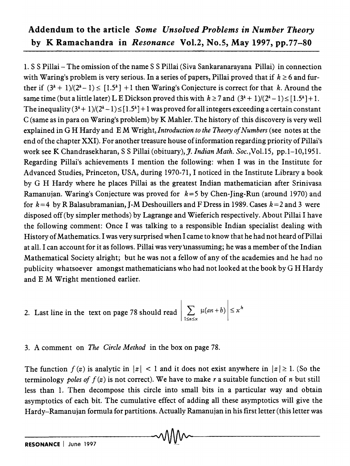### **Addendum to the article** *Some Unsolved Problems in Number Theory*  **by K Ramachandra in** *Resonance* **Vol.2, No.5, May 1997, pp.77-80**

1. S S Pillai - The omission of the name S S Pillai (Siva Sankaranarayana Pillai) in connection with Waring's problem is very serious. In a series of papers, Pillai proved that if  $k \ge 6$  and further if  $(3<sup>k</sup> + 1)/(2<sup>k</sup> - 1) \leq [1.5<sup>k</sup>] + 1$  then Waring's Conjecture is correct for that *k*. Around the same time (but a little later) L E Dickson proved this with  $k \ge 7$  and  $(3^k + 1)/(2^k - 1) \le [1.5^k] + 1$ . The inequality  $(3^k+1)/(2^k-1) \leq [1.5^k]+1$  was proved for all integers exceeding a certain constant C (same as in para on Waring's problem) by K Mahler. The history of this discovery is very well explained in G H Hardy and EM Wright, *Introduction to the Theory of Numbers* (see notes at the end of the chapter XXI). For another treasure house of information regarding priority of Pillai 's work see K Chandrasekharan, S S Pillai (obituary),]. *Indian Math.* Soc.,Vo1.1S, pp.l-10,19Sl. Regarding Pillai's achievements I mention the following: when I was in the Institute for Advanced Studies, Princeton, USA, during 1970-71, I noticed in the Institute Library a book by G H Hardy where he places Pillai as the greatest Indian mathematician after Srinivasa Ramanujan. Waring's Conjecture was proved for *k=S* by Chen-Jing-Run (around 1970) and for  $k=4$  by R Balasubramanian, J-M Deshouillers and F Dress in 1989. Cases  $k=2$  and 3 were disposed off (by simpler methods) by Lagrange and Wieferich respectively. About Pillai I have the following comment: Once I was talking to a responsible Indian specialist dealing with History of Mathematics. I was very surprised when I came to know that he had not heard ofPillai at all. I can account for it as follows. Pillai was very unassuming; he was a member of the Indian Mathematical Society alright; but he was not a fellow of any of the academies and he had no publicity whatsoever amongst mathematicians who had not looked at the book by G H Hardy and E M Wright mentioned earlier.

2. Last line in the text on page 78 should read 
$$
\left| \sum_{1 \le n \le x} \mu(an+b) \right| \le x^h
$$

### 3. A comment on *The Circle Method* in the box on page 78.

The function  $f(z)$  is analytic in  $|z| < 1$  and it does not exist anywhere in  $|z| \ge 1$ . (So the terminology *poles of fez)* is not correct). We have to make *r* a suitable function of *n* but still less than 1. Then decompose this circle into small bits in a particular way and obtain asymptotics of each bit. The cumulative effect of adding all these asymptotics will give the Hardy-Ramanujan formula for partitions. Actually Ramanujan in his first letter (this letter was